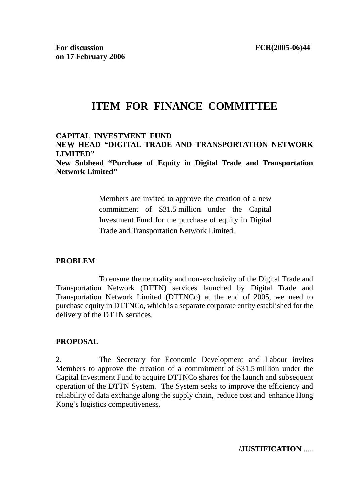# **ITEM FOR FINANCE COMMITTEE**

#### **CAPITAL INVESTMENT FUND NEW HEAD "DIGITAL TRADE AND TRANSPORTATION NETWORK LIMITED"**

**New Subhead "Purchase of Equity in Digital Trade and Transportation Network Limited"** 

> Members are invited to approve the creation of a new commitment of \$31.5 million under the Capital Investment Fund for the purchase of equity in Digital Trade and Transportation Network Limited.

#### **PROBLEM**

 To ensure the neutrality and non-exclusivity of the Digital Trade and Transportation Network (DTTN) services launched by Digital Trade and Transportation Network Limited (DTTNCo) at the end of 2005, we need to purchase equity in DTTNCo, which is a separate corporate entity established for the delivery of the DTTN services.

# **PROPOSAL**

2. The Secretary for Economic Development and Labour invites Members to approve the creation of a commitment of \$31.5 million under the Capital Investment Fund to acquire DTTNCo shares for the launch and subsequent operation of the DTTN System. The System seeks to improve the efficiency and reliability of data exchange along the supply chain, reduce cost and enhance Hong Kong's logistics competitiveness.

**/JUSTIFICATION** .....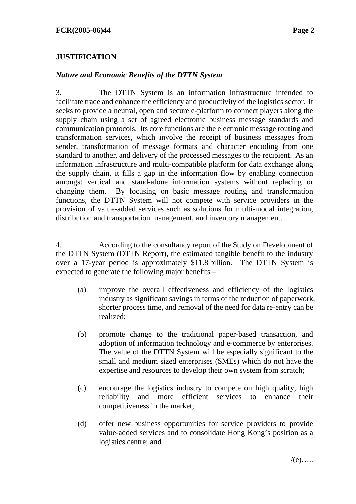# **JUSTIFICATION**

#### *Nature and Economic Benefits of the DTTN System*

3. The DTTN System is an information infrastructure intended to facilitate trade and enhance the efficiency and productivity of the logistics sector. It seeks to provide a neutral, open and secure e-platform to connect players along the supply chain using a set of agreed electronic business message standards and communication protocols. Its core functions are the electronic message routing and transformation services, which involve the receipt of business messages from sender, transformation of message formats and character encoding from one standard to another, and delivery of the processed messages to the recipient. As an information infrastructure and multi-compatible platform for data exchange along the supply chain, it fills a gap in the information flow by enabling connection amongst vertical and stand-alone information systems without replacing or changing them. By focusing on basic message routing and transformation functions, the DTTN System will not compete with service providers in the provision of value-added services such as solutions for multi-modal integration, distribution and transportation management, and inventory management.

4. According to the consultancy report of the Study on Development of the DTTN System (DTTN Report), the estimated tangible benefit to the industry over a 17-year period is approximately \$11.8 billion. The DTTN System is expected to generate the following major benefits –

- (a) improve the overall effectiveness and efficiency of the logistics industry as significant savings in terms of the reduction of paperwork, shorter process time, and removal of the need for data re-entry can be realized;
- (b) promote change to the traditional paper-based transaction, and adoption of information technology and e-commerce by enterprises. The value of the DTTN System will be especially significant to the small and medium sized enterprises (SMEs) which do not have the expertise and resources to develop their own system from scratch;
- (c) encourage the logistics industry to compete on high quality, high reliability and more efficient services to enhance their competitiveness in the market;
- (d) offer new business opportunities for service providers to provide value-added services and to consolidate Hong Kong's position as a logistics centre; and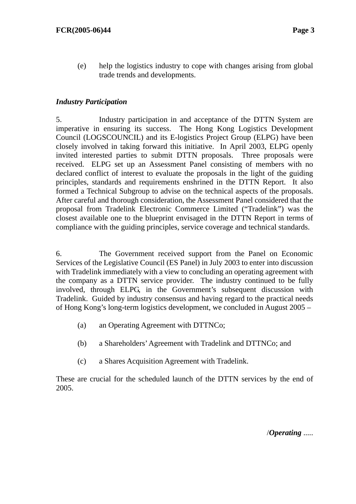(e) help the logistics industry to cope with changes arising from global trade trends and developments.

# *Industry Participation*

5. Industry participation in and acceptance of the DTTN System are imperative in ensuring its success. The Hong Kong Logistics Development Council (LOGSCOUNCIL) and its E-logistics Project Group (ELPG) have been closely involved in taking forward this initiative. In April 2003, ELPG openly invited interested parties to submit DTTN proposals. Three proposals were received. ELPG set up an Assessment Panel consisting of members with no declared conflict of interest to evaluate the proposals in the light of the guiding principles, standards and requirements enshrined in the DTTN Report. It also formed a Technical Subgroup to advise on the technical aspects of the proposals. After careful and thorough consideration, the Assessment Panel considered that the proposal from Tradelink Electronic Commerce Limited ("Tradelink") was the closest available one to the blueprint envisaged in the DTTN Report in terms of compliance with the guiding principles, service coverage and technical standards.

6. The Government received support from the Panel on Economic Services of the Legislative Council (ES Panel) in July 2003 to enter into discussion with Tradelink immediately with a view to concluding an operating agreement with the company as a DTTN service provider. The industry continued to be fully involved, through ELPG, in the Government's subsequent discussion with Tradelink. Guided by industry consensus and having regard to the practical needs of Hong Kong's long-term logistics development, we concluded in August 2005 –

- (a) an Operating Agreement with DTTNCo;
- (b) a Shareholders' Agreement with Tradelink and DTTNCo; and
- (c) a Shares Acquisition Agreement with Tradelink.

These are crucial for the scheduled launch of the DTTN services by the end of 2005.

/*Operating* .....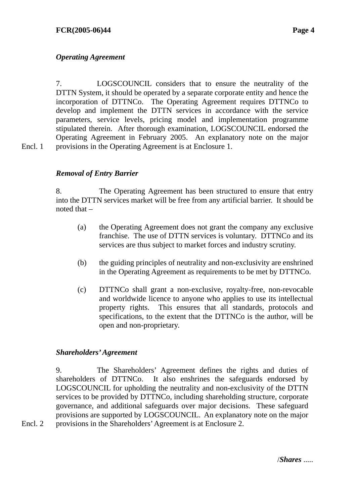# *Operating Agreement*

7. LOGSCOUNCIL considers that to ensure the neutrality of the DTTN System, it should be operated by a separate corporate entity and hence the incorporation of DTTNCo. The Operating Agreement requires DTTNCo to develop and implement the DTTN services in accordance with the service parameters, service levels, pricing model and implementation programme stipulated therein. After thorough examination, LOGSCOUNCIL endorsed the Operating Agreement in February 2005. An explanatory note on the major provisions in the Operating Agreement is at Enclosure 1.

Encl. 1

Encl. 2

# *Removal of Entry Barrier*

8. The Operating Agreement has been structured to ensure that entry into the DTTN services market will be free from any artificial barrier. It should be noted that –

- (a) the Operating Agreement does not grant the company any exclusive franchise. The use of DTTN services is voluntary. DTTNCo and its services are thus subject to market forces and industry scrutiny.
- (b) the guiding principles of neutrality and non-exclusivity are enshrined in the Operating Agreement as requirements to be met by DTTNCo.
- (c) DTTNCo shall grant a non-exclusive, royalty-free, non-revocable and worldwide licence to anyone who applies to use its intellectual property rights. This ensures that all standards, protocols and specifications, to the extent that the DTTNCo is the author, will be open and non-proprietary.

#### *Shareholders' Agreement*

9. The Shareholders' Agreement defines the rights and duties of shareholders of DTTNCo. It also enshrines the safeguards endorsed by LOGSCOUNCIL for upholding the neutrality and non-exclusivity of the DTTN services to be provided by DTTNCo, including shareholding structure, corporate governance, and additional safeguards over major decisions. These safeguard provisions are supported by LOGSCOUNCIL. An explanatory note on the major provisions in the Shareholders' Agreement is at Enclosure 2.

/*Shares* .....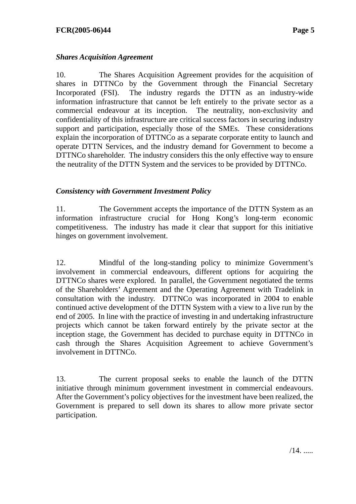# *Shares Acquisition Agreement*

10. The Shares Acquisition Agreement provides for the acquisition of shares in DTTNCo by the Government through the Financial Secretary Incorporated (FSI). The industry regards the DTTN as an industry-wide information infrastructure that cannot be left entirely to the private sector as a commercial endeavour at its inception. The neutrality, non-exclusivity and confidentiality of this infrastructure are critical success factors in securing industry support and participation, especially those of the SMEs. These considerations explain the incorporation of DTTNCo as a separate corporate entity to launch and operate DTTN Services, and the industry demand for Government to become a DTTNCo shareholder. The industry considers this the only effective way to ensure the neutrality of the DTTN System and the services to be provided by DTTNCo.

# *Consistency with Government Investment Policy*

11. The Government accepts the importance of the DTTN System as an information infrastructure crucial for Hong Kong's long-term economic competitiveness. The industry has made it clear that support for this initiative hinges on government involvement.

12. Mindful of the long-standing policy to minimize Government's involvement in commercial endeavours, different options for acquiring the DTTNCo shares were explored. In parallel, the Government negotiated the terms of the Shareholders' Agreement and the Operating Agreement with Tradelink in consultation with the industry. DTTNCo was incorporated in 2004 to enable continued active development of the DTTN System with a view to a live run by the end of 2005. In line with the practice of investing in and undertaking infrastructure projects which cannot be taken forward entirely by the private sector at the inception stage, the Government has decided to purchase equity in DTTNCo in cash through the Shares Acquisition Agreement to achieve Government's involvement in DTTNCo.

13. The current proposal seeks to enable the launch of the DTTN initiative through minimum government investment in commercial endeavours. After the Government's policy objectives for the investment have been realized, the Government is prepared to sell down its shares to allow more private sector participation.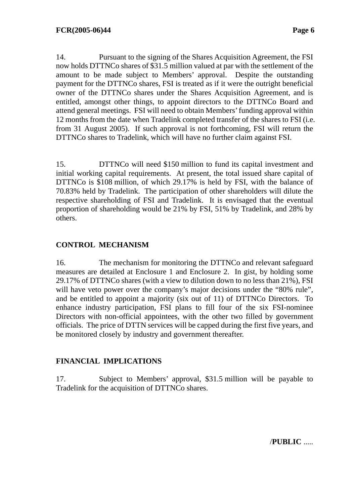14. Pursuant to the signing of the Shares Acquisition Agreement, the FSI now holds DTTNCo shares of \$31.5 million valued at par with the settlement of the amount to be made subject to Members' approval. Despite the outstanding payment for the DTTNCo shares, FSI is treated as if it were the outright beneficial owner of the DTTNCo shares under the Shares Acquisition Agreement, and is entitled, amongst other things, to appoint directors to the DTTNCo Board and attend general meetings. FSI will need to obtain Members' funding approval within 12 months from the date when Tradelink completed transfer of the shares to FSI (i.e. from 31 August 2005). If such approval is not forthcoming, FSI will return the DTTNCo shares to Tradelink, which will have no further claim against FSI.

15. DTTNCo will need \$150 million to fund its capital investment and initial working capital requirements. At present, the total issued share capital of DTTNCo is \$108 million, of which 29.17% is held by FSI, with the balance of 70.83% held by Tradelink. The participation of other shareholders will dilute the respective shareholding of FSI and Tradelink. It is envisaged that the eventual proportion of shareholding would be 21% by FSI, 51% by Tradelink, and 28% by others.

# **CONTROL MECHANISM**

16. The mechanism for monitoring the DTTNCo and relevant safeguard measures are detailed at Enclosure 1 and Enclosure 2. In gist, by holding some 29.17% of DTTNCo shares (with a view to dilution down to no less than 21%), FSI will have veto power over the company's major decisions under the "80% rule", and be entitled to appoint a majority (six out of 11) of DTTNCo Directors. To enhance industry participation, FSI plans to fill four of the six FSI-nominee Directors with non-official appointees, with the other two filled by government officials. The price of DTTN services will be capped during the first five years, and be monitored closely by industry and government thereafter.

# **FINANCIAL IMPLICATIONS**

17. Subject to Members' approval, \$31.5 million will be payable to Tradelink for the acquisition of DTTNCo shares.

/**PUBLIC** .....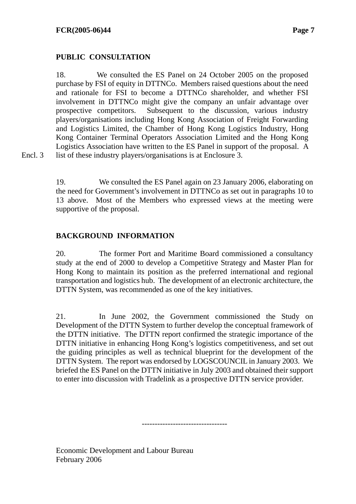# **PUBLIC CONSULTATION**

18. We consulted the ES Panel on 24 October 2005 on the proposed purchase by FSI of equity in DTTNCo. Members raised questions about the need and rationale for FSI to become a DTTNCo shareholder, and whether FSI involvement in DTTNCo might give the company an unfair advantage over prospective competitors. Subsequent to the discussion, various industry players/organisations including Hong Kong Association of Freight Forwarding and Logistics Limited, the Chamber of Hong Kong Logistics Industry, Hong Kong Container Terminal Operators Association Limited and the Hong Kong Logistics Association have written to the ES Panel in support of the proposal. A list of these industry players/organisations is at Enclosure 3.

Encl. 3

19. We consulted the ES Panel again on 23 January 2006, elaborating on the need for Government's involvement in DTTNCo as set out in paragraphs 10 to 13 above. Most of the Members who expressed views at the meeting were supportive of the proposal.

# **BACKGROUND INFORMATION**

20. The former Port and Maritime Board commissioned a consultancy study at the end of 2000 to develop a Competitive Strategy and Master Plan for Hong Kong to maintain its position as the preferred international and regional transportation and logistics hub. The development of an electronic architecture, the DTTN System, was recommended as one of the key initiatives.

21. In June 2002, the Government commissioned the Study on Development of the DTTN System to further develop the conceptual framework of the DTTN initiative. The DTTN report confirmed the strategic importance of the DTTN initiative in enhancing Hong Kong's logistics competitiveness, and set out the guiding principles as well as technical blueprint for the development of the DTTN System. The report was endorsed by LOGSCOUNCIL in January 2003. We briefed the ES Panel on the DTTN initiative in July 2003 and obtained their support to enter into discussion with Tradelink as a prospective DTTN service provider.

---------------------------------

Economic Development and Labour Bureau February 2006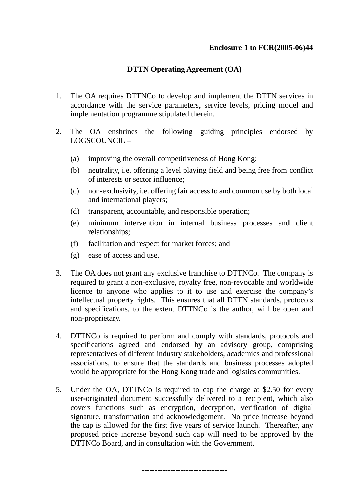# **Enclosure 1 to FCR(2005-06)44**

# **DTTN Operating Agreement (OA)**

- 1. The OA requires DTTNCo to develop and implement the DTTN services in accordance with the service parameters, service levels, pricing model and implementation programme stipulated therein.
- 2. The OA enshrines the following guiding principles endorsed by LOGSCOUNCIL –
	- (a) improving the overall competitiveness of Hong Kong;
	- (b) neutrality, i.e. offering a level playing field and being free from conflict of interests or sector influence;
	- (c) non-exclusivity, i.e. offering fair access to and common use by both local and international players;
	- (d) transparent, accountable, and responsible operation;
	- (e) minimum intervention in internal business processes and client relationships;
	- (f) facilitation and respect for market forces; and
	- (g) ease of access and use.
- 3. The OA does not grant any exclusive franchise to DTTNCo. The company is required to grant a non-exclusive, royalty free, non-revocable and worldwide licence to anyone who applies to it to use and exercise the company's intellectual property rights. This ensures that all DTTN standards, protocols and specifications, to the extent DTTNCo is the author, will be open and non-proprietary.
- 4. DTTNCo is required to perform and comply with standards, protocols and specifications agreed and endorsed by an advisory group, comprising representatives of different industry stakeholders, academics and professional associations, to ensure that the standards and business processes adopted would be appropriate for the Hong Kong trade and logistics communities.
- 5. Under the OA, DTTNCo is required to cap the charge at \$2.50 for every user-originated document successfully delivered to a recipient, which also covers functions such as encryption, decryption, verification of digital signature, transformation and acknowledgement. No price increase beyond the cap is allowed for the first five years of service launch. Thereafter, any proposed price increase beyond such cap will need to be approved by the DTTNCo Board, and in consultation with the Government.

---------------------------------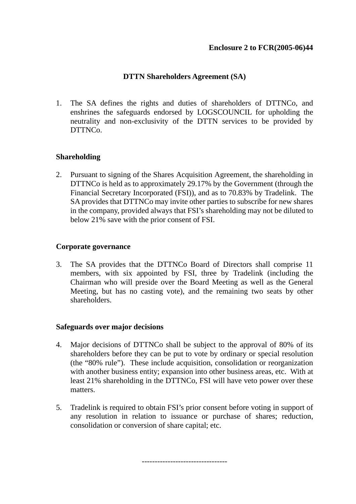# **DTTN Shareholders Agreement (SA)**

1. The SA defines the rights and duties of shareholders of DTTNCo, and enshrines the safeguards endorsed by LOGSCOUNCIL for upholding the neutrality and non-exclusivity of the DTTN services to be provided by DTTNCo.

# **Shareholding**

2. Pursuant to signing of the Shares Acquisition Agreement, the shareholding in DTTNCo is held as to approximately 29.17% by the Government (through the Financial Secretary Incorporated (FSI)), and as to 70.83% by Tradelink. The SA provides that DTTNCo may invite other parties to subscribe for new shares in the company, provided always that FSI's shareholding may not be diluted to below 21% save with the prior consent of FSI.

#### **Corporate governance**

3. The SA provides that the DTTNCo Board of Directors shall comprise 11 members, with six appointed by FSI, three by Tradelink (including the Chairman who will preside over the Board Meeting as well as the General Meeting, but has no casting vote), and the remaining two seats by other shareholders.

# **Safeguards over major decisions**

- 4. Major decisions of DTTNCo shall be subject to the approval of 80% of its shareholders before they can be put to vote by ordinary or special resolution (the "80% rule"). These include acquisition, consolidation or reorganization with another business entity; expansion into other business areas, etc. With at least 21% shareholding in the DTTNCo, FSI will have veto power over these matters.
- 5. Tradelink is required to obtain FSI's prior consent before voting in support of any resolution in relation to issuance or purchase of shares; reduction, consolidation or conversion of share capital; etc.

---------------------------------